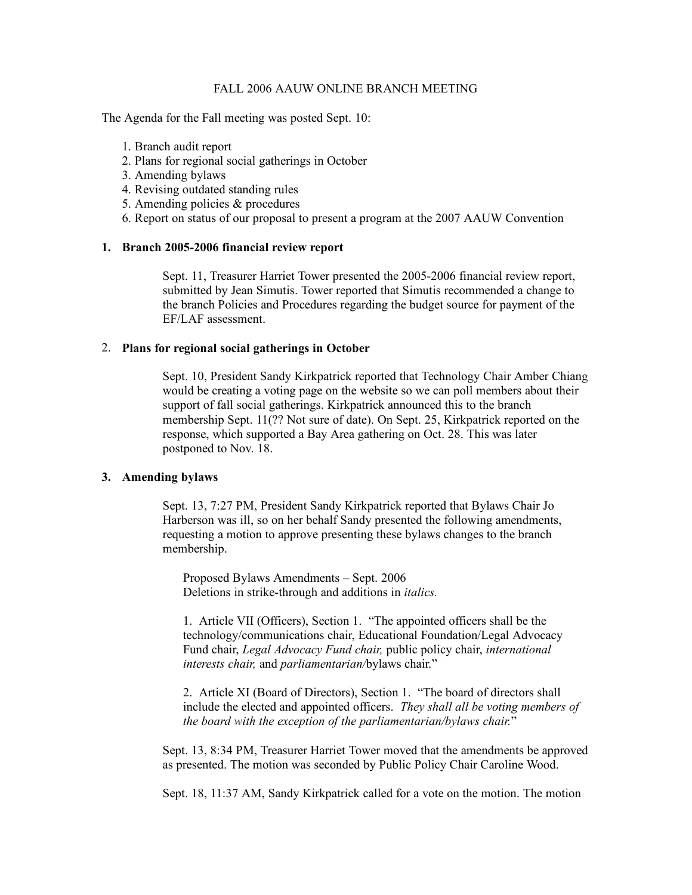### FALL 2006 AAUW ONLINE BRANCH MEETING

The Agenda for the Fall meeting was posted Sept. 10:

- 1. Branch audit report
- 2. Plans for regional social gatherings in October
- 3. Amending bylaws
- 4. Revising outdated standing rules
- 5. Amending policies & procedures
- 6. Report on status of our proposal to present a program at the 2007 AAUW Convention

### **1. Branch 2005-2006 financial review report**

Sept. 11, Treasurer Harriet Tower presented the 2005-2006 financial review report, submitted by Jean Simutis. Tower reported that Simutis recommended a change to the branch Policies and Procedures regarding the budget source for payment of the EF/LAF assessment.

# 2. **Plans for regional social gatherings in October**

Sept. 10, President Sandy Kirkpatrick reported that Technology Chair Amber Chiang would be creating a voting page on the website so we can poll members about their support of fall social gatherings. Kirkpatrick announced this to the branch membership Sept. 11(?? Not sure of date). On Sept. 25, Kirkpatrick reported on the response, which supported a Bay Area gathering on Oct. 28. This was later postponed to Nov. 18.

### **3. Amending bylaws**

Sept. 13, 7:27 PM, President Sandy Kirkpatrick reported that Bylaws Chair Jo Harberson was ill, so on her behalf Sandy presented the following amendments, requesting a motion to approve presenting these bylaws changes to the branch membership.

Proposed Bylaws Amendments – Sept. 2006 Deletions in strike-through and additions in *italics.*

1. Article VII (Officers), Section 1. "The appointed officers shall be the technology/communications chair, Educational Foundation/Legal Advocacy Fund chair, *Legal Advocacy Fund chair,* public policy chair, *international interests chair,* and *parliamentarian/*bylaws chair."

2. Article XI (Board of Directors), Section 1. "The board of directors shall include the elected and appointed officers. *They shall all be voting members of the board with the exception of the parliamentarian/bylaws chair.*"

Sept. 13, 8:34 PM, Treasurer Harriet Tower moved that the amendments be approved as presented. The motion was seconded by Public Policy Chair Caroline Wood.

Sept. 18, 11:37 AM, Sandy Kirkpatrick called for a vote on the motion. The motion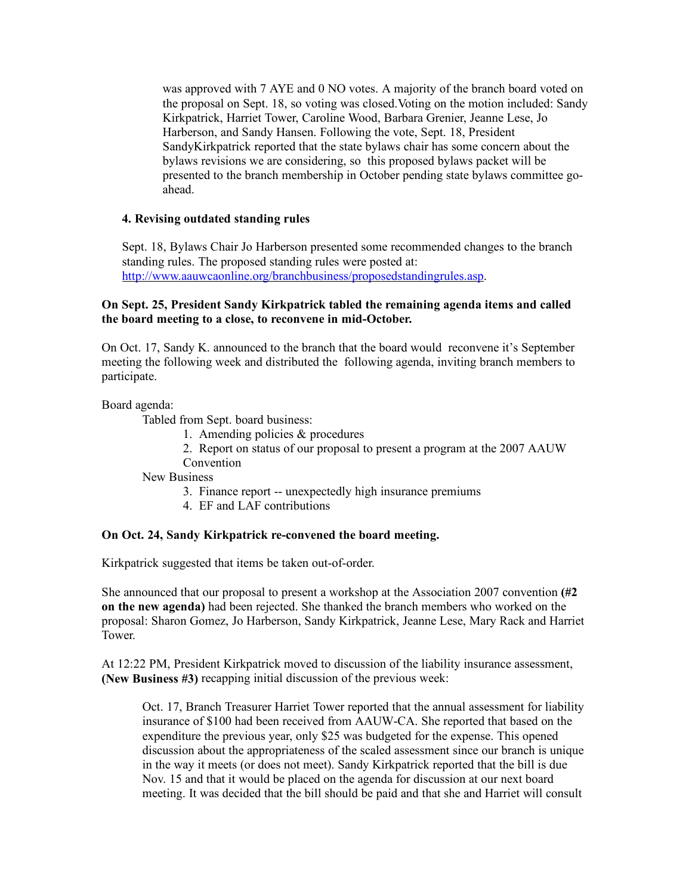was approved with 7 AYE and 0 NO votes. A majority of the branch board voted on the proposal on Sept. 18, so voting was closed.Voting on the motion included: Sandy Kirkpatrick, Harriet Tower, Caroline Wood, Barbara Grenier, Jeanne Lese, Jo Harberson, and Sandy Hansen. Following the vote, Sept. 18, President SandyKirkpatrick reported that the state bylaws chair has some concern about the bylaws revisions we are considering, so this proposed bylaws packet will be presented to the branch membership in October pending state bylaws committee goahead.

### **4. Revising outdated standing rules**

Sept. 18, Bylaws Chair Jo Harberson presented some recommended changes to the branch standing rules. The proposed standing rules were posted at: http://www.aauwcaonline.org/branchbusiness/proposedstandingrules.asp.

## **On Sept. 25, President Sandy Kirkpatrick tabled the remaining agenda items and called the board meeting to a close, to reconvene in mid-October.**

On Oct. 17, Sandy K. announced to the branch that the board would reconvene it's September meeting the following week and distributed the following agenda, inviting branch members to participate.

Board agenda:

Tabled from Sept. board business:

- 1. Amending policies & procedures
- 2. Report on status of our proposal to present a program at the 2007 AAUW
- Convention

New Business

- 3. Finance report -- unexpectedly high insurance premiums
- 4. EF and LAF contributions

### **On Oct. 24, Sandy Kirkpatrick re-convened the board meeting.**

Kirkpatrick suggested that items be taken out-of-order.

She announced that our proposal to present a workshop at the Association 2007 convention **(#2 on the new agenda)** had been rejected. She thanked the branch members who worked on the proposal: Sharon Gomez, Jo Harberson, Sandy Kirkpatrick, Jeanne Lese, Mary Rack and Harriet Tower.

At 12:22 PM, President Kirkpatrick moved to discussion of the liability insurance assessment, **(New Business #3)** recapping initial discussion of the previous week:

Oct. 17, Branch Treasurer Harriet Tower reported that the annual assessment for liability insurance of \$100 had been received from AAUW-CA. She reported that based on the expenditure the previous year, only \$25 was budgeted for the expense. This opened discussion about the appropriateness of the scaled assessment since our branch is unique in the way it meets (or does not meet). Sandy Kirkpatrick reported that the bill is due Nov. 15 and that it would be placed on the agenda for discussion at our next board meeting. It was decided that the bill should be paid and that she and Harriet will consult